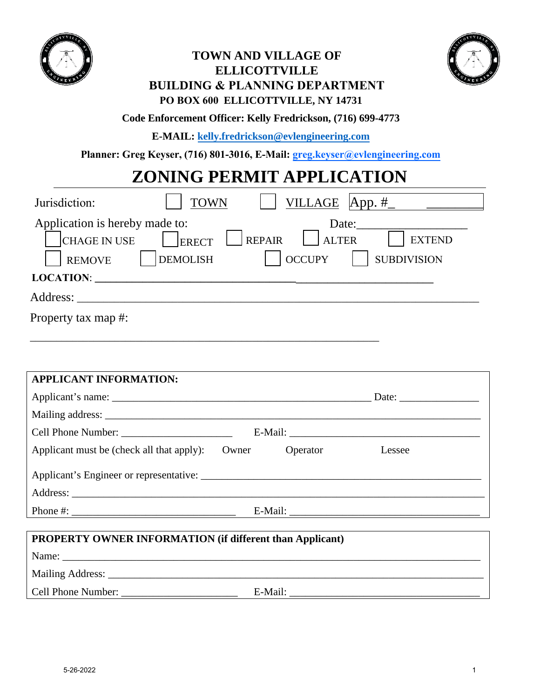

### **TOWN AND VILLAGE OF ELLICOTTVILLE BUILDING & PLANNING DEPARTMENT PO BOX 600 ELLICOTTVILLE, NY 14731**



#### **Code Enforcement Officer: Kelly Fredrickson, (716) 699-4773**

**E-MAIL: kelly.fredrickson@evlengineering.com**

**Planner: Greg Keyser, (716) 801-3016, E-Mail: greg.keyser@evlengineering.com**

# **ZONING PERMIT APPLICATION**

| Jurisdiction:                                                          | VILLAGE $App. \#$<br><b>TOWN</b>                                                                                                  |
|------------------------------------------------------------------------|-----------------------------------------------------------------------------------------------------------------------------------|
| Application is hereby made to:<br><b>CHAGE IN USE</b><br><b>REMOVE</b> | Date:<br><b>REPAIR</b><br><b>ALTER</b><br><b>EXTEND</b><br><b>ERECT</b><br><b>DEMOLISH</b><br><b>SUBDIVISION</b><br><b>OCCUPY</b> |
| <b>LOCATION:</b>                                                       |                                                                                                                                   |
| Address:                                                               |                                                                                                                                   |
| Property tax map #:                                                    |                                                                                                                                   |

\_\_\_\_\_\_\_\_\_\_\_\_\_\_\_\_\_\_\_\_\_\_\_\_\_\_\_\_\_\_\_\_\_\_\_\_\_\_\_\_\_\_\_\_\_\_\_\_\_\_\_\_\_\_\_\_\_\_\_\_\_\_\_\_\_\_

| <b>APPLICANT INFORMATION:</b>             |       |          |        |  |
|-------------------------------------------|-------|----------|--------|--|
|                                           |       |          |        |  |
|                                           |       |          |        |  |
|                                           |       |          |        |  |
| Applicant must be (check all that apply): | Owner | Operator | Lessee |  |
|                                           |       |          |        |  |
|                                           |       |          |        |  |
|                                           |       |          |        |  |

## **PROPERTY OWNER INFORMATION (if different than Applicant)** Name: \_\_\_\_\_\_\_\_\_\_\_\_\_\_\_\_\_\_\_\_\_\_\_\_\_\_\_\_\_\_\_\_\_\_\_\_\_\_\_\_\_\_\_\_\_\_\_\_\_\_\_\_\_\_\_\_\_\_\_\_\_\_\_\_\_\_\_\_\_\_\_\_\_\_\_\_\_\_\_ Mailing Address: \_\_\_\_\_\_\_\_\_\_\_\_\_\_\_\_\_\_\_\_\_\_\_\_\_\_\_\_\_\_\_\_\_\_\_\_\_\_\_\_\_\_\_\_\_\_\_\_\_\_\_\_\_\_\_\_\_\_\_\_\_\_\_\_\_\_\_\_\_\_\_ Cell Phone Number: \_\_\_\_\_\_\_\_\_\_\_\_\_\_\_\_\_\_\_\_\_\_ E-Mail: \_\_\_\_\_\_\_\_\_\_\_\_\_\_\_\_\_\_\_\_\_\_\_\_\_\_\_\_\_\_\_\_\_\_\_\_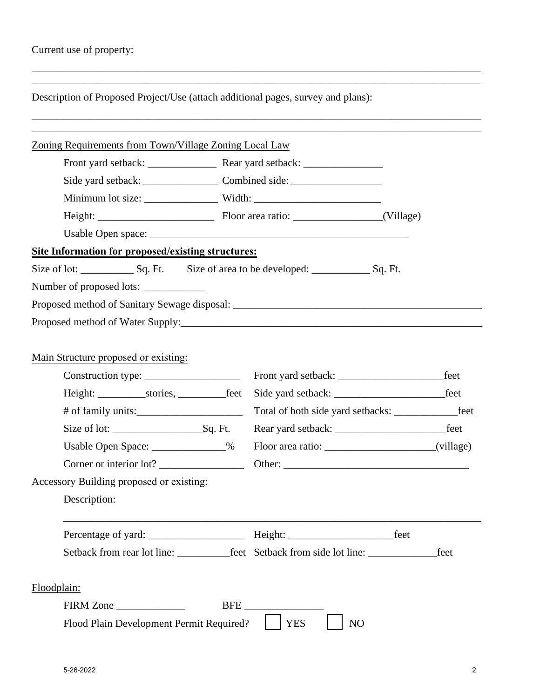|                                                                           |  |                         | Description of Proposed Project/Use (attach additional pages, survey and plans):        |  |           |
|---------------------------------------------------------------------------|--|-------------------------|-----------------------------------------------------------------------------------------|--|-----------|
| Zoning Requirements from Town/Village Zoning Local Law                    |  |                         |                                                                                         |  |           |
|                                                                           |  |                         |                                                                                         |  |           |
|                                                                           |  |                         |                                                                                         |  |           |
|                                                                           |  |                         |                                                                                         |  |           |
|                                                                           |  |                         |                                                                                         |  |           |
|                                                                           |  |                         |                                                                                         |  |           |
| Site Information for proposed/existing structures:                        |  |                         |                                                                                         |  |           |
|                                                                           |  |                         | Size of lot: Size of area to be developed: Size of area to be developed: Sq. Ft.        |  |           |
| Number of proposed lots:                                                  |  |                         |                                                                                         |  |           |
|                                                                           |  |                         |                                                                                         |  |           |
|                                                                           |  |                         |                                                                                         |  |           |
|                                                                           |  |                         |                                                                                         |  |           |
|                                                                           |  |                         |                                                                                         |  | feet      |
|                                                                           |  |                         | Total of both side yard setbacks: ______________________feet                            |  |           |
|                                                                           |  | Size of lot: $Sq$ . Ft. |                                                                                         |  |           |
| Main Structure proposed or existing:<br>Usable Open Space: _____________% |  |                         |                                                                                         |  | (village) |
| Corner or interior lot?                                                   |  |                         |                                                                                         |  |           |
|                                                                           |  |                         |                                                                                         |  |           |
| Accessory Building proposed or existing:<br>Description:                  |  |                         |                                                                                         |  |           |
|                                                                           |  |                         |                                                                                         |  |           |
|                                                                           |  |                         | Setback from rear lot line: _____________feet Setback from side lot line: _____________ |  | feet      |
|                                                                           |  |                         |                                                                                         |  |           |
| Floodplain:                                                               |  |                         |                                                                                         |  |           |

\_\_\_\_\_\_\_\_\_\_\_\_\_\_\_\_\_\_\_\_\_\_\_\_\_\_\_\_\_\_\_\_\_\_\_\_\_\_\_\_\_\_\_\_\_\_\_\_\_\_\_\_\_\_\_\_\_\_\_\_\_\_\_\_\_\_\_\_\_\_\_\_\_\_\_\_\_\_\_\_\_\_\_\_\_